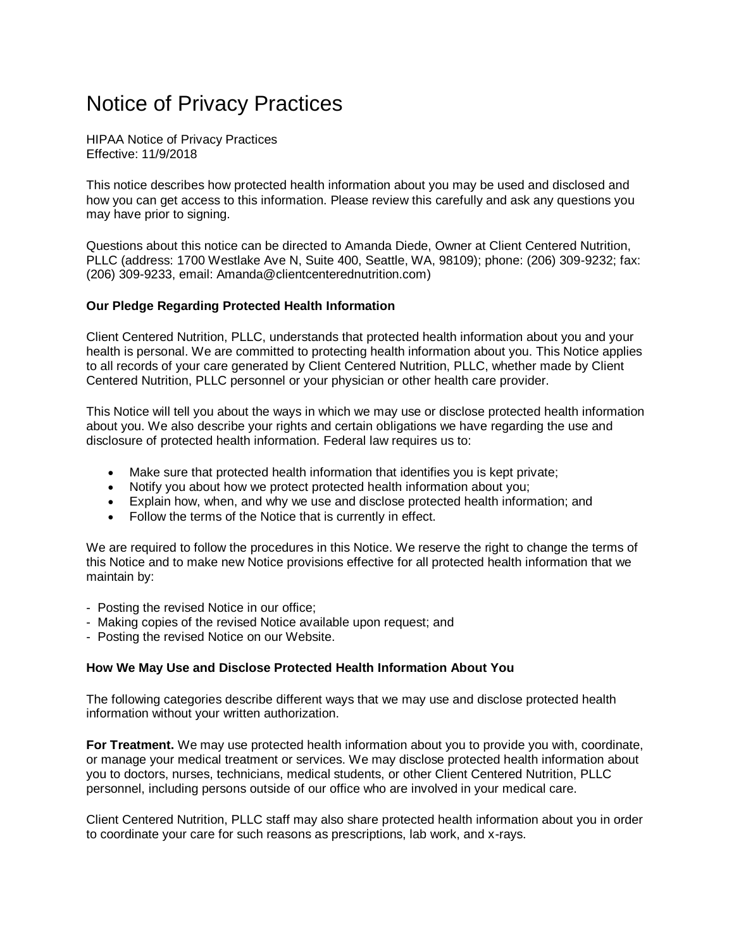# Notice of Privacy Practices

HIPAA Notice of Privacy Practices Effective: 11/9/2018

This notice describes how protected health information about you may be used and disclosed and how you can get access to this information. Please review this carefully and ask any questions you may have prior to signing.

Questions about this notice can be directed to Amanda Diede, Owner at Client Centered Nutrition, PLLC (address: 1700 Westlake Ave N, Suite 400, Seattle, WA, 98109); phone: (206) 309-9232; fax: (206) 309-9233, email: Amanda@clientcenterednutrition.com)

## **Our Pledge Regarding Protected Health Information**

Client Centered Nutrition, PLLC, understands that protected health information about you and your health is personal. We are committed to protecting health information about you. This Notice applies to all records of your care generated by Client Centered Nutrition, PLLC, whether made by Client Centered Nutrition, PLLC personnel or your physician or other health care provider.

This Notice will tell you about the ways in which we may use or disclose protected health information about you. We also describe your rights and certain obligations we have regarding the use and disclosure of protected health information. Federal law requires us to:

- Make sure that protected health information that identifies you is kept private;
- Notify you about how we protect protected health information about you;
- Explain how, when, and why we use and disclose protected health information; and
- Follow the terms of the Notice that is currently in effect.

We are required to follow the procedures in this Notice. We reserve the right to change the terms of this Notice and to make new Notice provisions effective for all protected health information that we maintain by:

- Posting the revised Notice in our office;
- Making copies of the revised Notice available upon request; and
- Posting the revised Notice on our Website.

## **How We May Use and Disclose Protected Health Information About You**

The following categories describe different ways that we may use and disclose protected health information without your written authorization.

**For Treatment.** We may use protected health information about you to provide you with, coordinate, or manage your medical treatment or services. We may disclose protected health information about you to doctors, nurses, technicians, medical students, or other Client Centered Nutrition, PLLC personnel, including persons outside of our office who are involved in your medical care.

Client Centered Nutrition, PLLC staff may also share protected health information about you in order to coordinate your care for such reasons as prescriptions, lab work, and x-rays.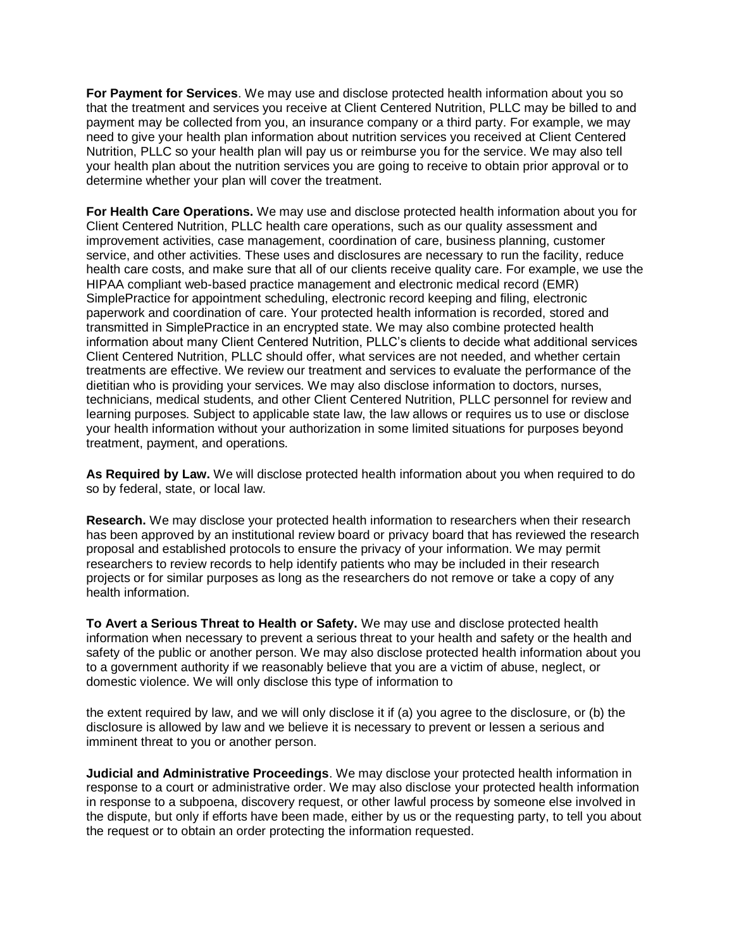**For Payment for Services**. We may use and disclose protected health information about you so that the treatment and services you receive at Client Centered Nutrition, PLLC may be billed to and payment may be collected from you, an insurance company or a third party. For example, we may need to give your health plan information about nutrition services you received at Client Centered Nutrition, PLLC so your health plan will pay us or reimburse you for the service. We may also tell your health plan about the nutrition services you are going to receive to obtain prior approval or to determine whether your plan will cover the treatment.

**For Health Care Operations.** We may use and disclose protected health information about you for Client Centered Nutrition, PLLC health care operations, such as our quality assessment and improvement activities, case management, coordination of care, business planning, customer service, and other activities. These uses and disclosures are necessary to run the facility, reduce health care costs, and make sure that all of our clients receive quality care. For example, we use the HIPAA compliant web-based practice management and electronic medical record (EMR) SimplePractice for appointment scheduling, electronic record keeping and filing, electronic paperwork and coordination of care. Your protected health information is recorded, stored and transmitted in SimplePractice in an encrypted state. We may also combine protected health information about many Client Centered Nutrition, PLLC's clients to decide what additional services Client Centered Nutrition, PLLC should offer, what services are not needed, and whether certain treatments are effective. We review our treatment and services to evaluate the performance of the dietitian who is providing your services. We may also disclose information to doctors, nurses, technicians, medical students, and other Client Centered Nutrition, PLLC personnel for review and learning purposes. Subject to applicable state law, the law allows or requires us to use or disclose your health information without your authorization in some limited situations for purposes beyond treatment, payment, and operations.

**As Required by Law.** We will disclose protected health information about you when required to do so by federal, state, or local law.

**Research.** We may disclose your protected health information to researchers when their research has been approved by an institutional review board or privacy board that has reviewed the research proposal and established protocols to ensure the privacy of your information. We may permit researchers to review records to help identify patients who may be included in their research projects or for similar purposes as long as the researchers do not remove or take a copy of any health information.

**To Avert a Serious Threat to Health or Safety.** We may use and disclose protected health information when necessary to prevent a serious threat to your health and safety or the health and safety of the public or another person. We may also disclose protected health information about you to a government authority if we reasonably believe that you are a victim of abuse, neglect, or domestic violence. We will only disclose this type of information to

the extent required by law, and we will only disclose it if (a) you agree to the disclosure, or (b) the disclosure is allowed by law and we believe it is necessary to prevent or lessen a serious and imminent threat to you or another person.

**Judicial and Administrative Proceedings**. We may disclose your protected health information in response to a court or administrative order. We may also disclose your protected health information in response to a subpoena, discovery request, or other lawful process by someone else involved in the dispute, but only if efforts have been made, either by us or the requesting party, to tell you about the request or to obtain an order protecting the information requested.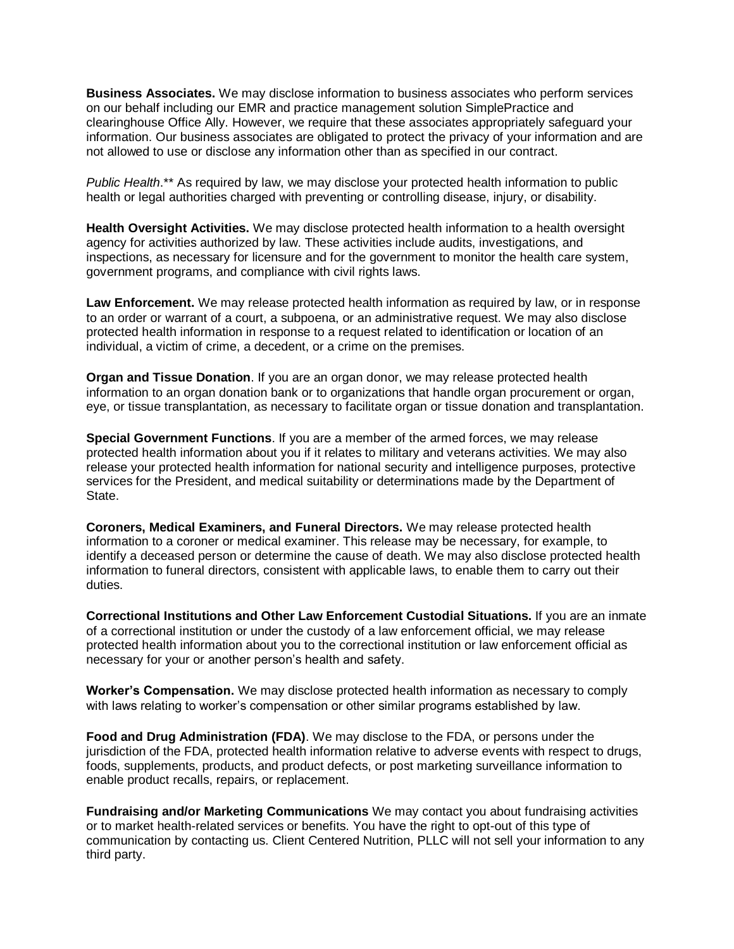**Business Associates.** We may disclose information to business associates who perform services on our behalf including our EMR and practice management solution SimplePractice and clearinghouse Office Ally. However, we require that these associates appropriately safeguard your information. Our business associates are obligated to protect the privacy of your information and are not allowed to use or disclose any information other than as specified in our contract.

*Public Health*.\*\* As required by law, we may disclose your protected health information to public health or legal authorities charged with preventing or controlling disease, injury, or disability.

**Health Oversight Activities.** We may disclose protected health information to a health oversight agency for activities authorized by law. These activities include audits, investigations, and inspections, as necessary for licensure and for the government to monitor the health care system, government programs, and compliance with civil rights laws.

**Law Enforcement.** We may release protected health information as required by law, or in response to an order or warrant of a court, a subpoena, or an administrative request. We may also disclose protected health information in response to a request related to identification or location of an individual, a victim of crime, a decedent, or a crime on the premises.

**Organ and Tissue Donation**. If you are an organ donor, we may release protected health information to an organ donation bank or to organizations that handle organ procurement or organ, eye, or tissue transplantation, as necessary to facilitate organ or tissue donation and transplantation.

**Special Government Functions**. If you are a member of the armed forces, we may release protected health information about you if it relates to military and veterans activities. We may also release your protected health information for national security and intelligence purposes, protective services for the President, and medical suitability or determinations made by the Department of State.

**Coroners, Medical Examiners, and Funeral Directors.** We may release protected health information to a coroner or medical examiner. This release may be necessary, for example, to identify a deceased person or determine the cause of death. We may also disclose protected health information to funeral directors, consistent with applicable laws, to enable them to carry out their duties.

**Correctional Institutions and Other Law Enforcement Custodial Situations.** If you are an inmate of a correctional institution or under the custody of a law enforcement official, we may release protected health information about you to the correctional institution or law enforcement official as necessary for your or another person's health and safety.

**Worker's Compensation.** We may disclose protected health information as necessary to comply with laws relating to worker's compensation or other similar programs established by law.

**Food and Drug Administration (FDA)**. We may disclose to the FDA, or persons under the jurisdiction of the FDA, protected health information relative to adverse events with respect to drugs, foods, supplements, products, and product defects, or post marketing surveillance information to enable product recalls, repairs, or replacement.

**Fundraising and/or Marketing Communications** We may contact you about fundraising activities or to market health-related services or benefits. You have the right to opt-out of this type of communication by contacting us. Client Centered Nutrition, PLLC will not sell your information to any third party.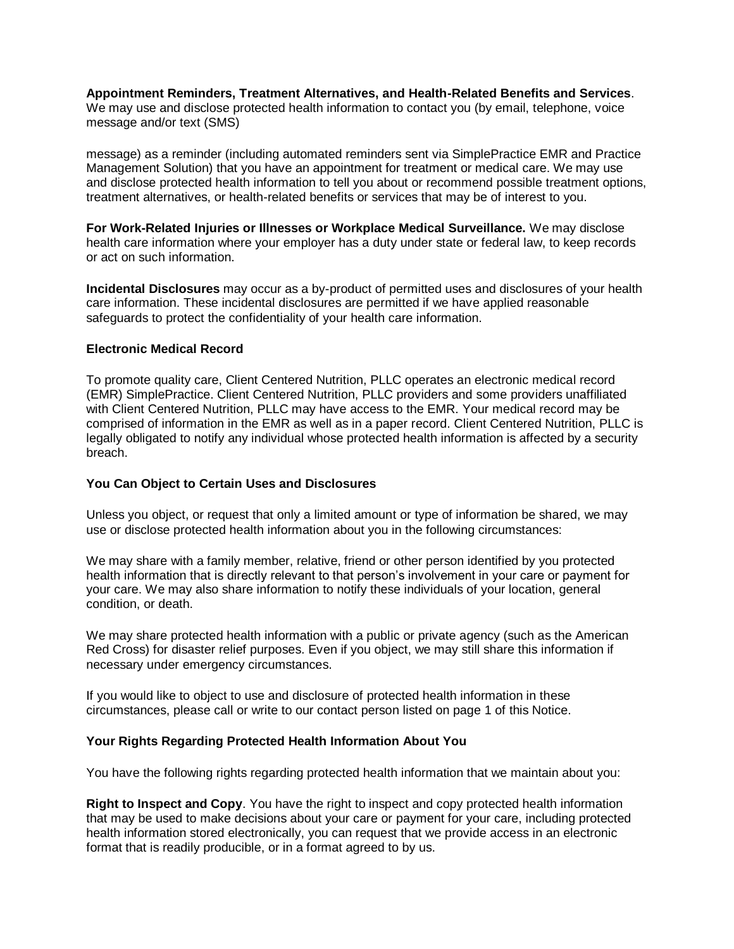**Appointment Reminders, Treatment Alternatives, and Health-Related Benefits and Services**. We may use and disclose protected health information to contact you (by email, telephone, voice message and/or text (SMS)

message) as a reminder (including automated reminders sent via SimplePractice EMR and Practice Management Solution) that you have an appointment for treatment or medical care. We may use and disclose protected health information to tell you about or recommend possible treatment options, treatment alternatives, or health-related benefits or services that may be of interest to you.

**For Work-Related Injuries or Illnesses or Workplace Medical Surveillance.** We may disclose health care information where your employer has a duty under state or federal law, to keep records or act on such information.

**Incidental Disclosures** may occur as a by-product of permitted uses and disclosures of your health care information. These incidental disclosures are permitted if we have applied reasonable safeguards to protect the confidentiality of your health care information.

## **Electronic Medical Record**

To promote quality care, Client Centered Nutrition, PLLC operates an electronic medical record (EMR) SimplePractice. Client Centered Nutrition, PLLC providers and some providers unaffiliated with Client Centered Nutrition, PLLC may have access to the EMR. Your medical record may be comprised of information in the EMR as well as in a paper record. Client Centered Nutrition, PLLC is legally obligated to notify any individual whose protected health information is affected by a security breach.

# **You Can Object to Certain Uses and Disclosures**

Unless you object, or request that only a limited amount or type of information be shared, we may use or disclose protected health information about you in the following circumstances:

We may share with a family member, relative, friend or other person identified by you protected health information that is directly relevant to that person's involvement in your care or payment for your care. We may also share information to notify these individuals of your location, general condition, or death.

We may share protected health information with a public or private agency (such as the American Red Cross) for disaster relief purposes. Even if you object, we may still share this information if necessary under emergency circumstances.

If you would like to object to use and disclosure of protected health information in these circumstances, please call or write to our contact person listed on page 1 of this Notice.

# **Your Rights Regarding Protected Health Information About You**

You have the following rights regarding protected health information that we maintain about you:

**Right to Inspect and Copy**. You have the right to inspect and copy protected health information that may be used to make decisions about your care or payment for your care, including protected health information stored electronically, you can request that we provide access in an electronic format that is readily producible, or in a format agreed to by us.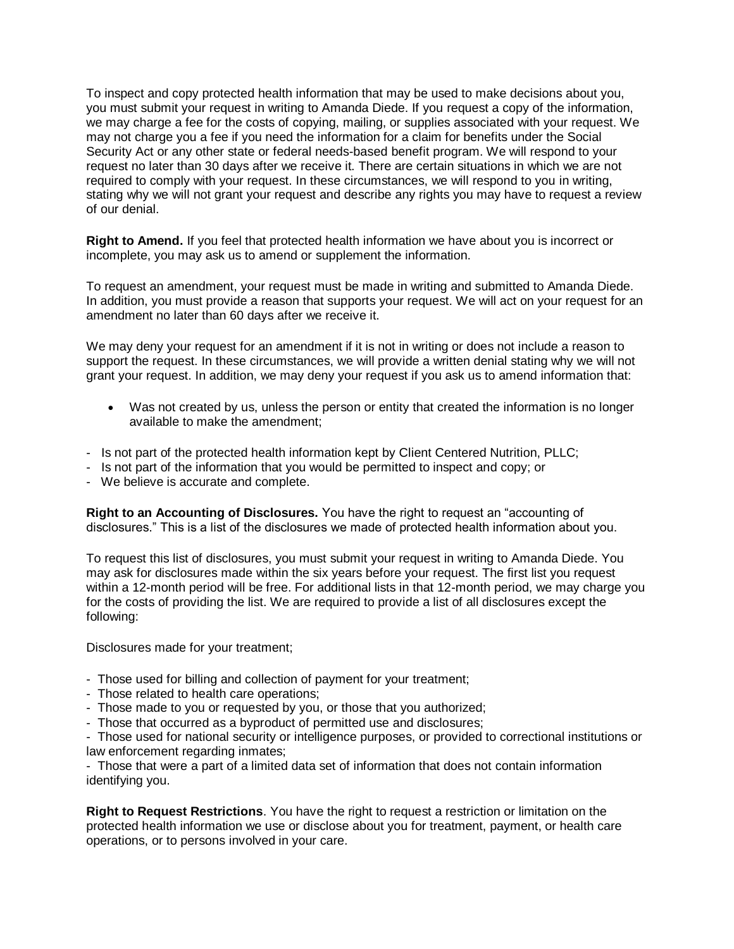To inspect and copy protected health information that may be used to make decisions about you, you must submit your request in writing to Amanda Diede. If you request a copy of the information, we may charge a fee for the costs of copying, mailing, or supplies associated with your request. We may not charge you a fee if you need the information for a claim for benefits under the Social Security Act or any other state or federal needs-based benefit program. We will respond to your request no later than 30 days after we receive it. There are certain situations in which we are not required to comply with your request. In these circumstances, we will respond to you in writing, stating why we will not grant your request and describe any rights you may have to request a review of our denial.

**Right to Amend.** If you feel that protected health information we have about you is incorrect or incomplete, you may ask us to amend or supplement the information.

To request an amendment, your request must be made in writing and submitted to Amanda Diede. In addition, you must provide a reason that supports your request. We will act on your request for an amendment no later than 60 days after we receive it.

We may deny your request for an amendment if it is not in writing or does not include a reason to support the request. In these circumstances, we will provide a written denial stating why we will not grant your request. In addition, we may deny your request if you ask us to amend information that:

- Was not created by us, unless the person or entity that created the information is no longer available to make the amendment;
- Is not part of the protected health information kept by Client Centered Nutrition, PLLC;
- Is not part of the information that you would be permitted to inspect and copy; or
- We believe is accurate and complete.

**Right to an Accounting of Disclosures.** You have the right to request an "accounting of disclosures." This is a list of the disclosures we made of protected health information about you.

To request this list of disclosures, you must submit your request in writing to Amanda Diede. You may ask for disclosures made within the six years before your request. The first list you request within a 12-month period will be free. For additional lists in that 12-month period, we may charge you for the costs of providing the list. We are required to provide a list of all disclosures except the following:

Disclosures made for your treatment;

- Those used for billing and collection of payment for your treatment;
- Those related to health care operations;
- Those made to you or requested by you, or those that you authorized;
- Those that occurred as a byproduct of permitted use and disclosures;

- Those used for national security or intelligence purposes, or provided to correctional institutions or law enforcement regarding inmates;

- Those that were a part of a limited data set of information that does not contain information identifying you.

**Right to Request Restrictions**. You have the right to request a restriction or limitation on the protected health information we use or disclose about you for treatment, payment, or health care operations, or to persons involved in your care.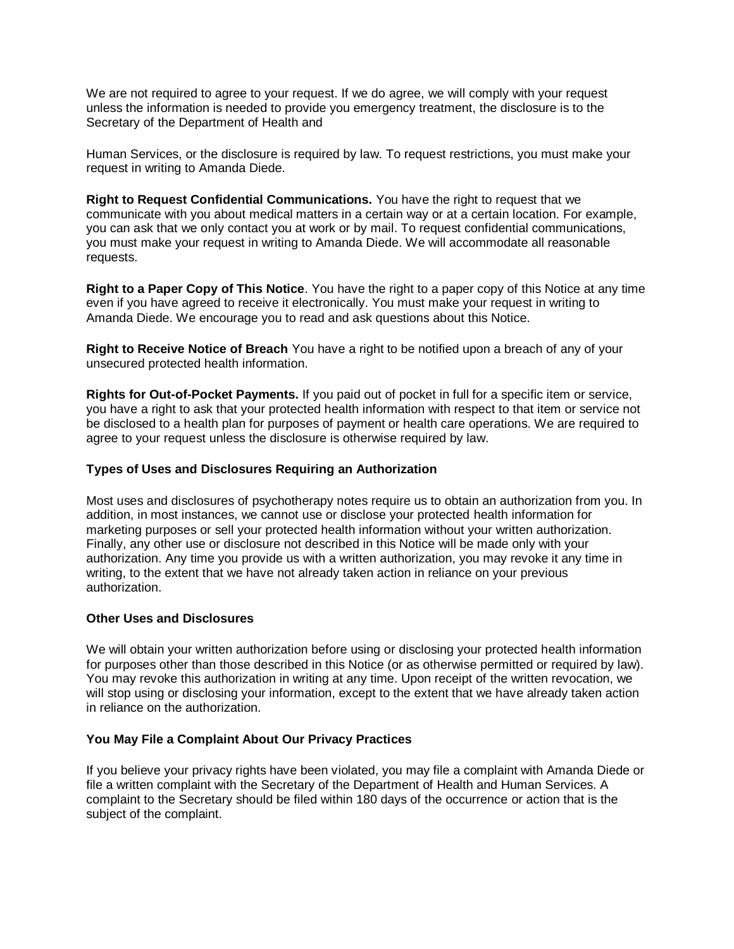We are not required to agree to your request. If we do agree, we will comply with your request unless the information is needed to provide you emergency treatment, the disclosure is to the Secretary of the Department of Health and

Human Services, or the disclosure is required by law. To request restrictions, you must make your request in writing to Amanda Diede.

**Right to Request Confidential Communications.** You have the right to request that we communicate with you about medical matters in a certain way or at a certain location. For example, you can ask that we only contact you at work or by mail. To request confidential communications, you must make your request in writing to Amanda Diede. We will accommodate all reasonable requests.

**Right to a Paper Copy of This Notice**. You have the right to a paper copy of this Notice at any time even if you have agreed to receive it electronically. You must make your request in writing to Amanda Diede. We encourage you to read and ask questions about this Notice.

**Right to Receive Notice of Breach** You have a right to be notified upon a breach of any of your unsecured protected health information.

**Rights for Out-of-Pocket Payments.** If you paid out of pocket in full for a specific item or service, you have a right to ask that your protected health information with respect to that item or service not be disclosed to a health plan for purposes of payment or health care operations. We are required to agree to your request unless the disclosure is otherwise required by law.

## **Types of Uses and Disclosures Requiring an Authorization**

Most uses and disclosures of psychotherapy notes require us to obtain an authorization from you. In addition, in most instances, we cannot use or disclose your protected health information for marketing purposes or sell your protected health information without your written authorization. Finally, any other use or disclosure not described in this Notice will be made only with your authorization. Any time you provide us with a written authorization, you may revoke it any time in writing, to the extent that we have not already taken action in reliance on your previous authorization.

## **Other Uses and Disclosures**

We will obtain your written authorization before using or disclosing your protected health information for purposes other than those described in this Notice (or as otherwise permitted or required by law). You may revoke this authorization in writing at any time. Upon receipt of the written revocation, we will stop using or disclosing your information, except to the extent that we have already taken action in reliance on the authorization.

# **You May File a Complaint About Our Privacy Practices**

If you believe your privacy rights have been violated, you may file a complaint with Amanda Diede or file a written complaint with the Secretary of the Department of Health and Human Services. A complaint to the Secretary should be filed within 180 days of the occurrence or action that is the subject of the complaint.